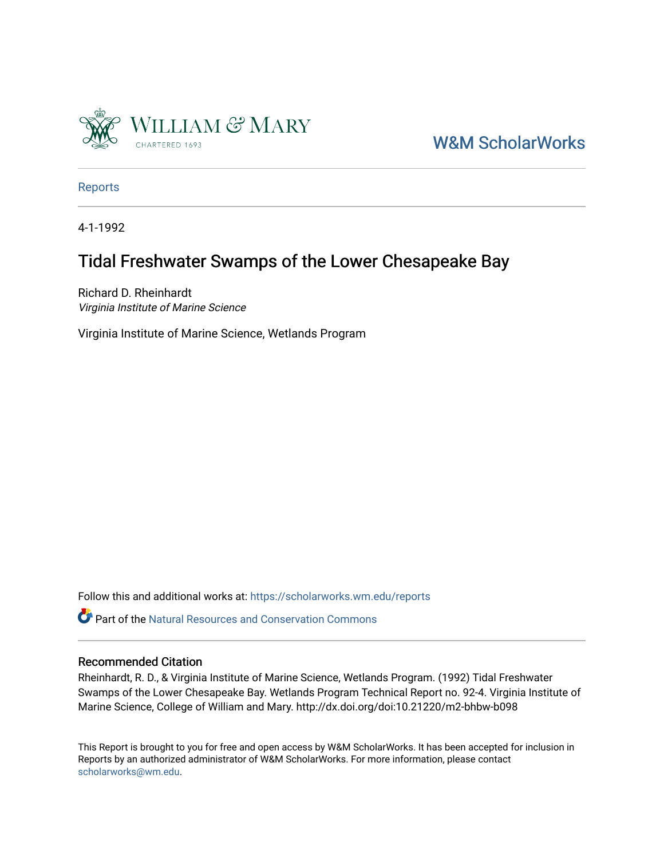

[W&M ScholarWorks](https://scholarworks.wm.edu/) 

[Reports](https://scholarworks.wm.edu/reports)

4-1-1992

# Tidal Freshwater Swamps of the Lower Chesapeake Bay

Richard D. Rheinhardt Virginia Institute of Marine Science

Virginia Institute of Marine Science, Wetlands Program

Follow this and additional works at: [https://scholarworks.wm.edu/reports](https://scholarworks.wm.edu/reports?utm_source=scholarworks.wm.edu%2Freports%2F652&utm_medium=PDF&utm_campaign=PDFCoverPages)

**P** Part of the Natural Resources and Conservation Commons

## Recommended Citation

Rheinhardt, R. D., & Virginia Institute of Marine Science, Wetlands Program. (1992) Tidal Freshwater Swamps of the Lower Chesapeake Bay. Wetlands Program Technical Report no. 92-4. Virginia Institute of Marine Science, College of William and Mary. http://dx.doi.org/doi:10.21220/m2-bhbw-b098

This Report is brought to you for free and open access by W&M ScholarWorks. It has been accepted for inclusion in Reports by an authorized administrator of W&M ScholarWorks. For more information, please contact [scholarworks@wm.edu.](mailto:scholarworks@wm.edu)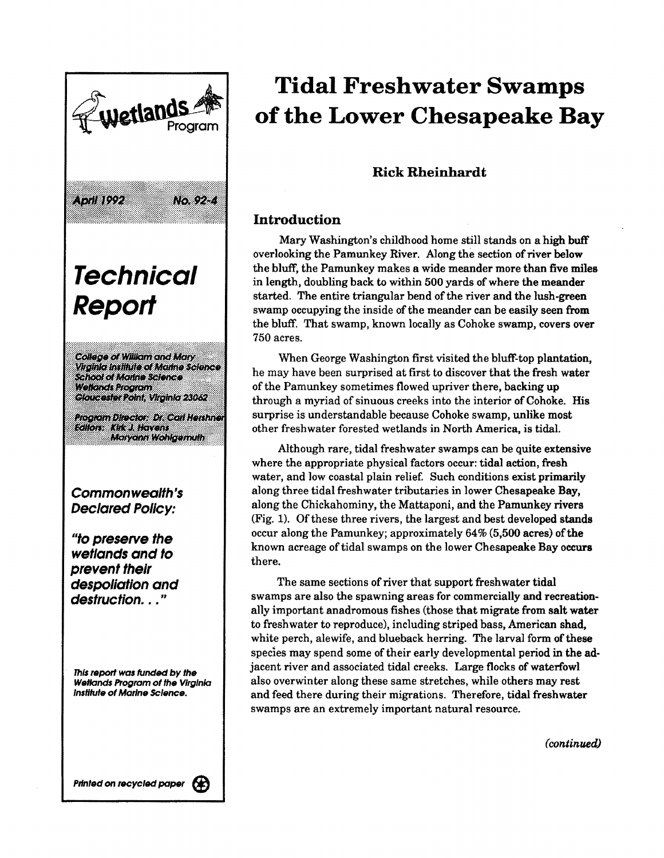

# **Tidal Freshwater Swamps of the Lower Chesapeake Bay**

# Rick Rheinhardt

# **Introduction**

Mary Washington's childhood home still stands on a high buff overlooking the Pamunkey River. Along the section of river below the bluff, the Pamunkey makes a wide meander more than five miles in length, doubling back to within 500 yards of where the meander started. The entire triangular bend of the river and the lush-green swamp occupying the inside of the meander can be easily seen from the bluff. That swamp, known locally as Cohoke swamp, covers **over**  750 acres.

When George Washington first visited the bluff-top plantation, he may have been surprised at first to discover that the fresh water of the Pamunkey sometimes flowed upriver there, backing up through a myriad of sinuous creeks into the interior of Cohoke. His surprise is understandable because Cohoke swamp, unlike most other freshwater forested wetlands in North America, is tidal.

Although rare, tidal freshwater swamps can be quite extensive where the appropriate physical factors occur: tidal action, fresh water, and low coastal plain relief. Such conditions exist primarily along three tidal freshwater tributaries in lower Chesapeake Bay, along the Chickahominy, the Mattaponi, and the Pamunkey rivers (Fig. 1). Of these three rivers, the largest and best developed stands occur along the Pamunkey; approximately 64% (5,500 acres) of the known acreage of tidal swamps on the lower Chesapeake Bay occurs there.

The same sections of river that support freshwater tidal swamps are also the spawning areas for commercially and recreationally important anadromous fishes (those that migrate from salt **water**  to freshwater to reproduce), including striped bass, American shad, white perch, alewife, and blueback herring. The larval form of these species may spend some of their early developmental period in the adjacent river and associated tidal creeks. Large flocks of waterfowl also overwinter along these same stretches, while others may rest and feed there during their migrations. Therefore, tidal freshwater swamps are an extremely important natural resource.

(*continued*)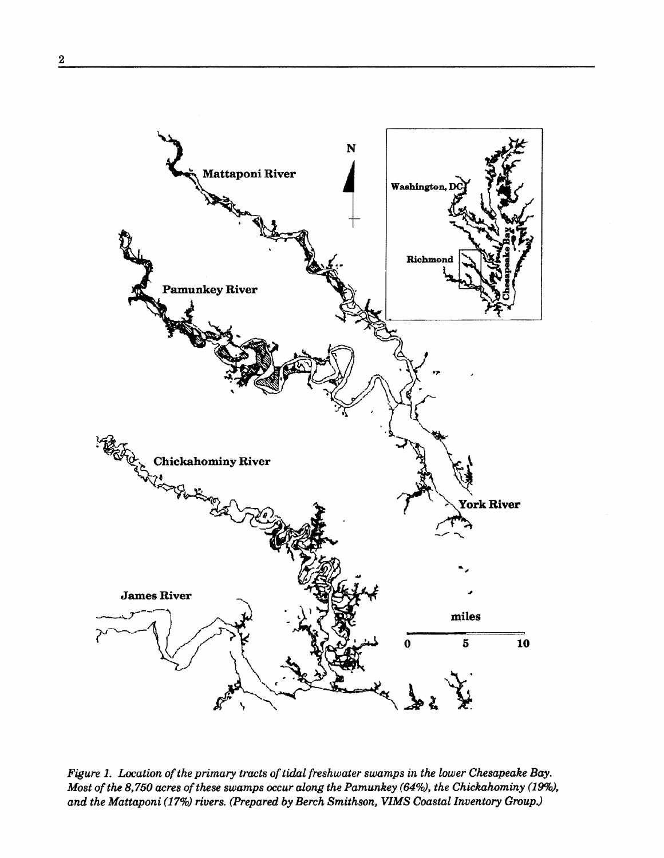

*Figure 1. Location of the primary tracts of tidal freshwater swamps in the lower Chesapeake Bay. Most of the 8,750 acres of these swamps occur along the Pamunkey (64%), the Chickahominy (19%),*  and the Mattaponi (17%) rivers. (Prepared by Berch Smithson, VIMS Coastal Inventory Group.)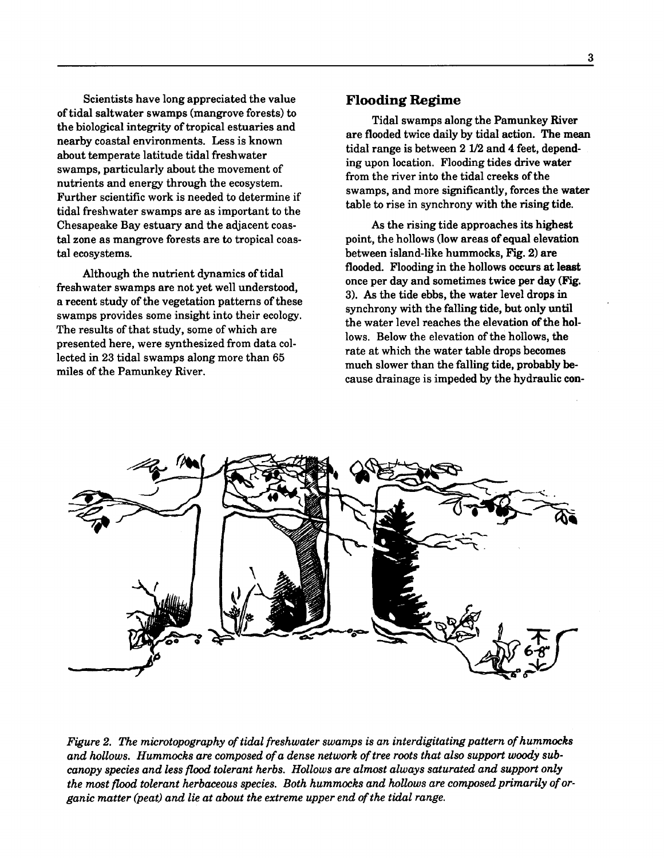Scientists have long appreciated the value of tidal saltwater swamps (mangrove forests) to the biological integrity of tropical estuaries and nearby coastal environments. Less is known about temperate latitude tidal freshwater swamps, particularly about the movement of nutrients and energy through the ecosystem. Further scientific work is needed to determine if tidal freshwater swamps are as important to the Chesapeake Bay estuary and the adjacent coastal zone as mangrove forests are to tropical coastal ecosystems.

Although the nutrient dynamics of tidal freshwater swamps are not yet well understood, a recent study of the vegetation patterns of these swamps provides some insight into their ecology. The results of that study, some of which are presented here, were synthesized from data collected in 23 tidal swamps along more than 65 miles of the Pamunkey River.

#### **Flooding Regime**

Tidal swamps along the Pamunkey River are flooded twice daily by tidal action. The mean tidal range is between 2 1/2 and 4 feet, depending upon location. Flooding tides drive water from the river into the tidal creeks of the swamps, and more significantly, forces the **water**  table to rise in synchrony with the rising tide.

As the rising tide approaches its highest point, the hollows (low areas of equal elevation between island-like hummocks, Fig. 2) are flooded. Flooding in the hollows occurs at **least**  once per day and sometimes twice per **day (Fig.**  3). As the tide ebbs, the water level drops in synchrony with the falling tide, but only until the water level reaches the elevation of the hollows. Below the elevation of the hollows, the rate at which the water table drops becomes much slower than the falling tide, probably because drainage is impeded by the hydraulic con-



*Figure 2. The microtopography of tidal freshwater swamps is an interdigitating pattern of hummocks and hollows. Hummocks are composed of a dense network of tree roots that also support woody subcanopy species and less flood tolerant herbs. Hollows are almost always saturated and support only the most flood tolerant herbaceous species. Both hummocks and hollows are composed primarily of organic matter (peat) and lie at about the extreme upper end of the tidal range.*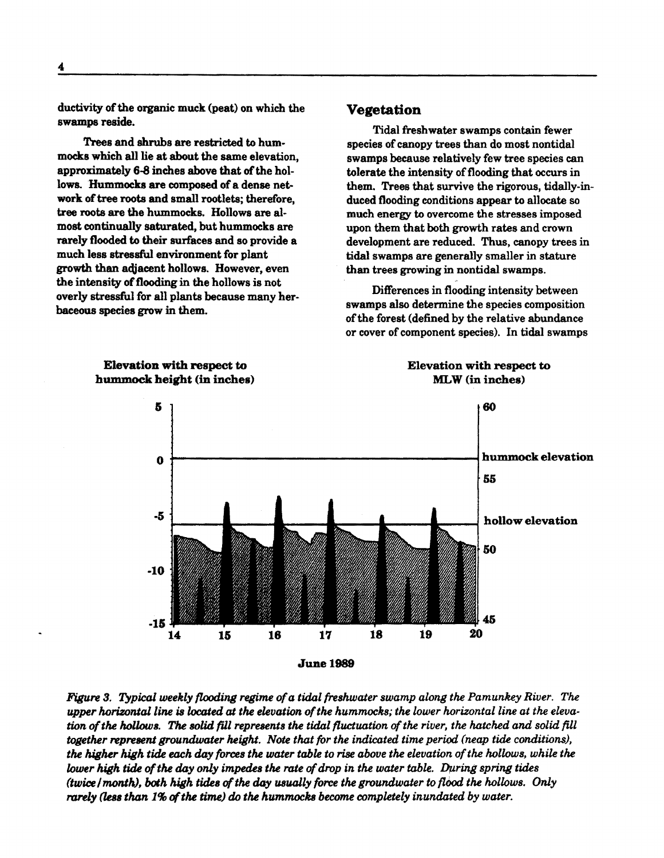ductivity of the organic muck (peat) on which the swamps reside.

Trees and shrubs are restricted to hum· mocks which all lie at about the same elevation, approximately 6-8 inches above that of the hol· lows. Hummocks are composed of a dense net**work** of tree roots and small rootlets; therefore, tree roots are the hummocks. Hollows are al· most continually saturated, but hummocks are rarely flooded to their surfaces and so provide a much less stressful environment for plant growth than adjacent hollows. However, even the intensity of flooding in the hollows is not overly stressful for all plants because many her· baceous species grow in them.

#### **Vegetation**

Tidal freshwater swamps contain fewer species of canopy trees than do most nontidal swamps because relatively few tree species can tolerate the intensity of flooding that occurs in them. Trees that survive the rigorous, tidally-induced flooding conditions appear to allocate so much energy to overcome the stresses imposed upon them that both growth rates and crown development are reduced. Thus, canopy trees in tidal swamps are generally smaller in stature than trees growing in nontidal swamps.

Differences in flooding intensity between swamps also determine the species composition ofthe forest (defined by the relative abundance or cover of component species). In tidal swamps



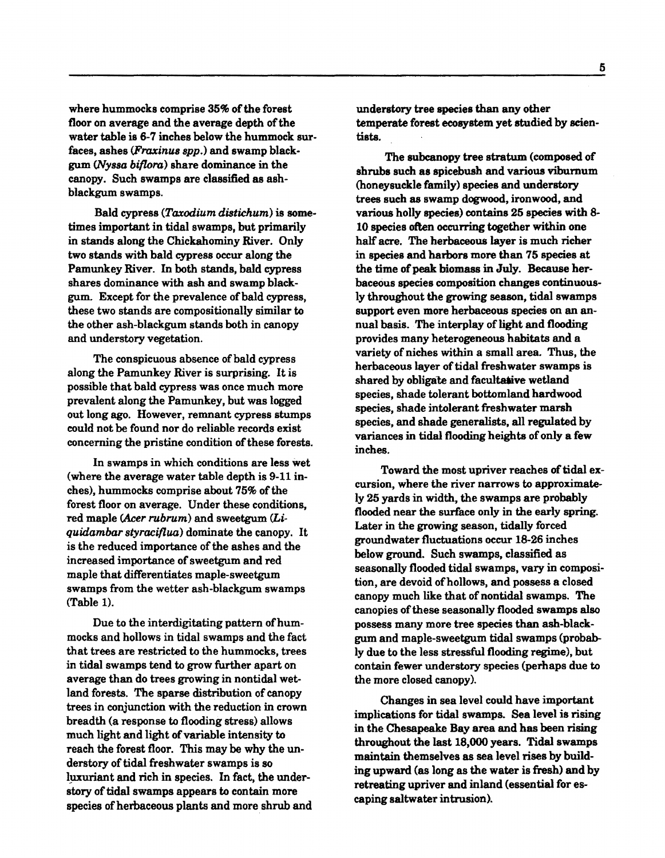where hummocks comprise 35% of the forest floor on average and the average depth of the water table is 6-7 inches below the hummock surfaces, ashes (Fraxinus spp.) and swamp blackgum *(JvySBa* biflora) share dominance in the canopy. Such swamps are classified as ashblackgum swamps.

Bald cypress (Taxodium distichum) is sometimes important in tidal swamps, but primarily in stands along the Chickahominy River. Only two stands with bald cypress occur along the Pamunkey River. In both stands, bald cypress shares dominance with ash and swamp black. gum. Except for the prevalence of bald cypress, these two stands are compositionally similar to the other ash-blackgum stands both in canopy and understory vegetation.

The conspicuous absence of bald cypress along the Pamunkey River is surprising. It is possible that bald cypress was once much more prevalent along the Pamunkey, but was logged out long ago. However, remnant cypress stumps could not be found nor do reliable records exist concerning the pristine condition of these forests.

In swamps in which conditions are less wet {where the average water table depth is 9-11 inches), hummocks comprise about 75% of the forest floor on average. Under these conditions, red maple (Acer rubrum) and sweetgum (Li*quidambar styraciflua)* dominate the canopy. It is the reduced importance of the ashes and the increased importance of sweetgum and red maple that differentiates maple-sweetgum swamps from the wetter ash-blackgum swamps (Table 1).

Due to the interdigitating pattern of hummocks and hollows in tidal swamps and the fact that trees are restricted to the hummocks, trees in tidal swamps tend to grow further apart on average than do trees growing in nontidal wetland forests. The sparse distribution of canopy trees in conjunction with the reduction in crown breadth (a response to flooding stress) allows much light and light of variable intensity to reach the forest floor. This may be why the understory of tidal freshwater swamps is so luxuriant and rich in species. In fact, the understory of tidal swamps appears to contain more species of herbaceous plants and more shrub and understory tree **species** than any other temperate forest ecosystem yet studied by scientists.

The subcanopy tree stratum (composed of shrubs such as spicebush and various viburnum (honeysuckle family) species and understory trees such as swamp dogwood, ironwood, and various holly species) contains 25 species with 8- 10 species often occurring together within one half acre. The herbaceous layer is much richer in species and harbors more than 75 species at the time of peak biomass in July. Because herbaceous species composition changes continuously throughout the growing season, tidal swamps support even more herbaceous species on an annual basis. The interplay of light and flooding provides many heterogeneous habitats and a variety of niches within a small area. Thus, the herbaceous layer of tidal freshwater swamps is shared by obligate and facultative wetland species, shade tolerant bottomland hardwood species, shade intolerant freshwater marsh species, and shade generalists, all regulated by variances in tidal flooding heights of only **a few**  inches.

Toward the most upriver reaches of tidal excursion, where the river narrows to approximately 25 yards in width, the swamps are probably flooded near the surface only in the early spring. Later in the growing season, tidally forced groundwater fluctuations occur 18-26 inches below ground. Such swamps, classified as seasonally flooded tidal swamps, vary in composition, are devoid of hollows, and possess a closed canopy much like that of nontidal swamps. The canopies of these seasonally flooded swamps also possess many more tree species than ash-blackgum and maple-sweetgum tidal swamps (probably due to the less stressful flooding regime), but contain fewer understory species (perhaps due to the more closed canopy).

Changes in sea level could have important implications for tidal swamps. Sea level is rising in the Chesapeake Bay area and has been rising throughout the last 18,000 years. Tidal swamps maintain themselves as sea level rises by building upward (as long as the water is fresh) and by retreating upriver and inland (essential for escaping saltwater intrusion).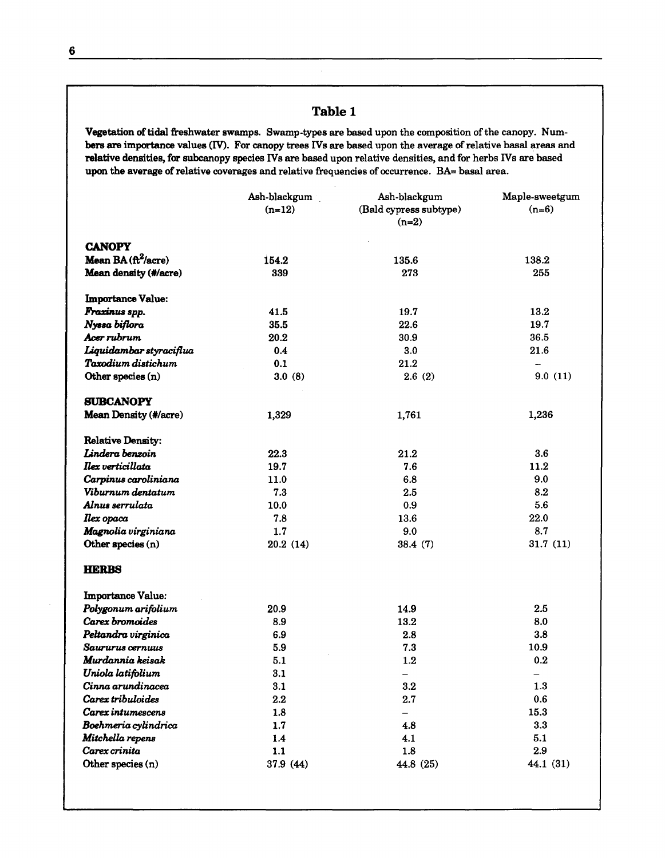# Table 1

Vegetation of tidal freshwater swamps. Swamp-types are based upon the composition of the canopy. Num**bers are** importance values (IV). For canopy trees IVs are based upon the average of relative basal areas and **relative densities,** for subcanopy species IVs are based upon relative densities, and for herbs IVs are based upon the **average** of relative coverages and relative frequencies of occurrence. BA= basal area.

|                                     | Ash-blackgum<br>$(n=12)$ | Ash-blackgum<br>(Bald cypress subtype)<br>$(n=2)$ | Maple-sweetgum<br>$(n=6)$ |
|-------------------------------------|--------------------------|---------------------------------------------------|---------------------------|
| <b>CANOPY</b>                       |                          |                                                   |                           |
| Mean BA $(\text{ft}^2/\text{acre})$ | 154.2                    | 135.6                                             | 138.2                     |
| Mean density (#/acre)               | 339                      | 273                                               | 255                       |
| <b>Importance Value:</b>            |                          |                                                   |                           |
| Fraxinus spp.                       | 41.5                     | 19.7                                              | 13.2                      |
| Nyssa biflora                       | 35.5                     | 22.6                                              | 19.7                      |
| Acer rubrum                         | 20.2                     | 30.9                                              | 36.5                      |
| Liquidambar styraciflua             | 0.4                      | 3.0                                               | 21.6                      |
| Taxodium distichum                  | 0.1                      | 21.2                                              |                           |
| Other species (n)                   | 3.0(8)                   | 2.6(2)                                            | 9.0(11)                   |
| <b>SUBCANOPY</b>                    |                          |                                                   |                           |
| Mean Density (#/acre)               | 1,329                    | 1,761                                             | 1,236                     |
| <b>Relative Density:</b>            |                          |                                                   |                           |
| Lindera benzoin                     | 22.3                     | 21.2                                              | $3.6\phantom{0}$          |
| Ilex verticillata                   | 19.7                     | 7.6                                               | 11.2                      |
| Carpinus caroliniana                | 11.0                     | 6.8                                               | 9.0                       |
| Viburnum dentatum                   | 7.3                      | 2.5                                               | 8.2                       |
| Alnus serrulata                     | 10.0                     | 0.9                                               | 5.6                       |
| <b>Ilex</b> opaca                   | 7.8                      | 13.6                                              | 22.0                      |
| Magnolia virginiana                 | 1.7                      | 9.0                                               | 8.7                       |
| Other species (n)                   | 20.2(14)                 | 38.4(7)                                           | 31.7(11)                  |
| <b>HERBS</b>                        |                          |                                                   |                           |
| <b>Importance Value:</b>            |                          |                                                   |                           |
| Polygonum arifolium                 | 20.9                     | 14.9                                              | 2.5                       |
| Carex bromoides                     | 8.9                      | 13.2                                              | 8.0                       |
| Peltandra virginica                 | 6.9                      | 2.8                                               | 3.8                       |
| Saururus cernuus                    | 5.9                      | 7.3                                               | 10.9                      |
| Murdannia keisak                    | 5.1                      | 1.2                                               | 0.2                       |
| Uniola latifolium                   | 3.1                      |                                                   |                           |
| Cinna arundinacea                   | 3.1                      | $3.2\,$                                           | 1.3                       |
| Carex tribuloides                   | 2.2                      | 2.7                                               | 0.6                       |
| Carex intumescens                   | 1.8                      | -                                                 | 15.3                      |
| Boehmeria cylindrica                | 1.7                      | 4.8                                               | 3.3                       |
| Mitchella repens                    | 1.4                      | 4.1                                               | 5.1                       |
| Carex crinita                       | 1.1                      | 1.8                                               | 2.9                       |
| Other species (n)                   | 37.9 (44)                | 44.8 (25)                                         | 44.1 (31)                 |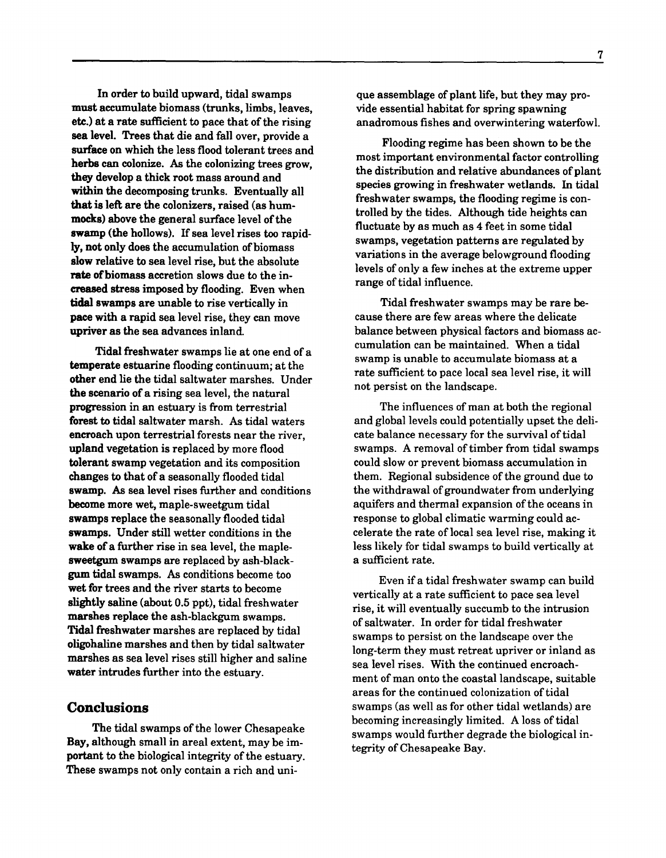In order to build upward, tidal swamps must accumulate biomass (trunks, limbs, leaves, **etc.)** at a rate sufficient to pace that of the rising sea level. Trees that die and fall over, provide a **surface** on which the less flood tolerant trees and herbs can colonize. As the colonizing trees grow, they develop a thick root mass around and within the decomposing trunks. Eventually all **that is** left are the colonizers, raised (as hum**mocks)** above the general surface level of the **swamp** (the hollows). If sea level rises too rapidly, not only does the accumulation of biomass **slow** relative to sea level rise, but the absolute **rate of** biomass accretion slows due to the increased stress imposed by flooding. Even when tidal swamps are unable to rise vertically in pace with a rapid sea level rise, they can move upriver as the sea advances inland.

Tidal freshwater swamps lie at one end of a **temperate** estuarine flooding continuum; at the **other** end lie the tidal saltwater marshes. Under **the scenario** of a rising sea level, the natural **progression** in an estuary is from terrestrial **forest to** tidal saltwater marsh. As tidal waters **encroach** upon terrestrial forests near the river, **upland** vegetation is replaced by more flood **tolerant** swamp vegetation and its composition **changes** to that of a seasonally flooded tidal **swamp.** As sea level rises further and conditions become more wet, maple-sweetgum tidal **swamps** replace the seasonally flooded tidal swamps. Under still wetter conditions in the wake of a further rise in sea level, the maple**sweetgum** swamps are replaced by ash-blackgum tidal swamps. As conditions become too wet for trees and the river starts to become slightly saline (about 0.5 ppt), tidal freshwater marshes replace the ash-blackgum swamps. Tidal freshwater marshes are replaced by tidal oligohaline marshes and then by tidal saltwater marshes as sea level rises still higher and saline **water** intrudes further into the estuary.

## **Conclusions**

The tidal swamps of the lower Chesapeake **Bay,** although small in areal extent, may be im**portant** to the biological integrity of the estuary. **These** swamps not only contain a rich and uni-

que assemblage of plant life, but they may provide essential habitat for spring spawning anadromous fishes and overwintering waterfowl.

Flooding regime has been shown to be the most important environmental factor controlling the distribution and relative abundances of plant species growing in freshwater wetlands. In tidal freshwater swamps, the flooding regime is controlled by the tides. Although tide heights can fluctuate by as much as 4 feet in some tidal swamps, vegetation patterns are regulated by variations in the average belowground flooding levels of only a few inches at the extreme upper range of tidal influence.

Tidal freshwater swamps may be rare because there are few areas where the delicate balance between physical factors and biomass accumulation can be maintained. When a tidal swamp is unable to accumulate biomass at a rate sufficient to pace local sea level rise, it will not persist on the landscape.

The influences of man at both the regional and global levels could potentially upset the delicate balance necessary for the survival of tidal swamps. A removal of timber from tidal swamps could slow or prevent biomass accumulation in them. Regional subsidence of the ground due to the withdrawal of groundwater from underlying aquifers and thermal expansion of the oceans in response to global climatic warming could accelerate the rate of local sea level rise, making it less likely for tidal swamps to build vertically at a sufficient rate.

Even if a tidal freshwater swamp can build vertically at a rate sufficient to pace sea level rise, it will eventually succumb to the intrusion of saltwater. In order for tidal freshwater swamps to persist on the landscape over the long-term they must retreat upriver or inland as sea level rises. With the continued encroachment of man onto the coastal landscape, suitable areas for the continued colonization of tidal swamps (as well as for other tidal wetlands) are becoming increasingly limited. A loss of tidal swamps would further degrade the biological integrity of Chesapeake Bay.